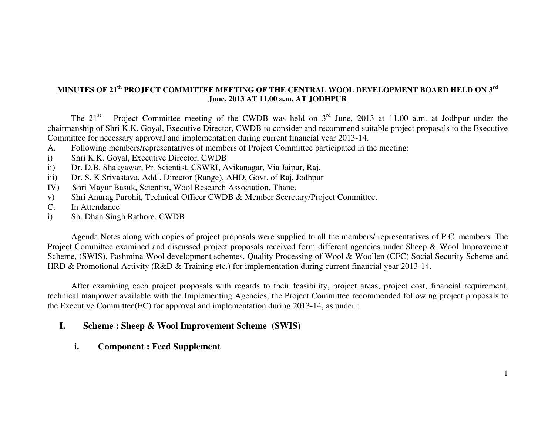### **MINUTES OF 21th PROJECT COMMITTEE MEETING OF THE CENTRAL WOOL DEVELOPMENT BOARD HELD ON 3rd June, 2013 AT 11.00 a.m. AT JODHPUR**

The 21<sup>st</sup> Project Committee meeting of the CWDB was held on 3<sup>rd</sup> June, 2013 at 11.00 a.m. at Jodhpur under the chairmanship of Shri K.K. Goyal, Executive Director, CWDB to consider and recommend suitable project proposals to the Executive Committee for necessary approval and implementation during current financial year 2013-14.

- A. Following members/representatives of members of Project Committee participated in the meeting:
- i) Shri K.K. Goyal, Executive Director, CWDB
- ii) Dr. D.B. Shakyawar, Pr. Scientist, CSWRI, Avikanagar, Via Jaipur, Raj.
- iii) Dr. S. K Srivastava, Addl. Director (Range), AHD, Govt. of Raj. Jodhpur
- IV) Shri Mayur Basuk, Scientist, Wool Research Association, Thane.
- v) Shri Anurag Purohit, Technical Officer CWDB & Member Secretary/Project Committee.
- C. In Attendance
- i) Sh. Dhan Singh Rathore, CWDB

 Agenda Notes along with copies of project proposals were supplied to all the members/ representatives of P.C. members. The Project Committee examined and discussed project proposals received form different agencies under Sheep & Wool Improvement Scheme, (SWIS), Pashmina Wool development schemes, Quality Processing of Wool & Woollen (CFC) Social Security Scheme and HRD & Promotional Activity (R&D & Training etc.) for implementation during current financial year 2013-14.

 After examining each project proposals with regards to their feasibility, project areas, project cost, financial requirement, technical manpower available with the Implementing Agencies, the Project Committee recommended following project proposals to the Executive Committee(EC) for approval and implementation during 2013-14, as under :

#### **I.Scheme : Sheep & Wool Improvement Scheme (SWIS)**

**i.Component : Feed Supplement**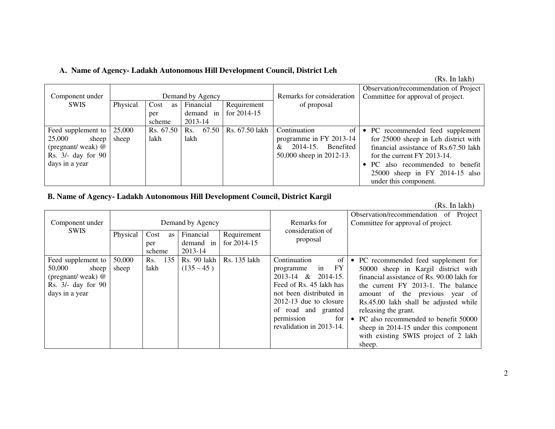#### **A. Name of Agency- Ladakh Autonomous Hill Development Council, District Leh**

| Component under    |          |            | Demand by Agency |                | Remarks for consideration      | Observation/recommendation of Project<br>Committee for approval of project. |
|--------------------|----------|------------|------------------|----------------|--------------------------------|-----------------------------------------------------------------------------|
| <b>SWIS</b>        | Physical | Cost<br>as | Financial        | Requirement    | of proposal                    |                                                                             |
|                    |          | per        | demand in        | for $2014-15$  |                                |                                                                             |
|                    |          | scheme     | 2013-14          |                |                                |                                                                             |
| Feed supplement to | 25,000   | Rs. 67.50  | 67.50<br>Rs.     | Rs. 67.50 lakh | Continuation<br>of             | • PC recommended feed supplement                                            |
| 25,000<br>sheep    | sheep    | lakh       | lakh             |                | programme in FY 2013-14        | for 25000 sheep in Leh district with                                        |
| (pregnant/weak) @  |          |            |                  |                | Benefited<br>$2014 - 15.$<br>& | financial assistance of Rs.67.50 lakh                                       |
| Rs. 3/- day for 90 |          |            |                  |                | 50,000 sheep in 2012-13.       | for the current FY 2013-14.                                                 |
| days in a year     |          |            |                  |                |                                | PC also recommended to benefit                                              |
|                    |          |            |                  |                |                                | 25000 sheep in FY 2014-15 also                                              |
|                    |          |            |                  |                |                                | under this component.                                                       |

## **B. Name of Agency- Ladakh Autonomous Hill Development Council, District Kargil**

(Rs. In lakh)

| Component under<br><b>SWIS</b>                                                                     | Physical        | Cost<br>as<br>per<br>scheme | Demand by Agency<br>Financial<br>demand in<br>2013-14 | Requirement<br>for $2014-15$ | Remarks for<br>consideration of<br>proposal                                                                                                                                                                                      | Observation/recommendation of Project<br>Committee for approval of project.                                                                                                                                                                                                                                                                                                                             |
|----------------------------------------------------------------------------------------------------|-----------------|-----------------------------|-------------------------------------------------------|------------------------------|----------------------------------------------------------------------------------------------------------------------------------------------------------------------------------------------------------------------------------|---------------------------------------------------------------------------------------------------------------------------------------------------------------------------------------------------------------------------------------------------------------------------------------------------------------------------------------------------------------------------------------------------------|
| Feed supplement to<br>50,000<br>sheep<br>(pregnant/weak) @<br>Rs. 3/- day for 90<br>days in a year | 50,000<br>sheep | 135<br>Rs.<br>lakh          | Rs. 90 lakh<br>$(135 - 45)$                           | Rs. 135 lakh                 | Continuation<br>of<br>FY<br>in<br>programme<br>$2013-14$ & $2014-15$ .<br>Feed of Rs. 45 lakh has<br>not been distributed in<br>$2012-13$ due to closure<br>of road and granted<br>permission<br>for<br>revalidation in 2013-14. | • PC recommended feed supplement for<br>50000 sheep in Kargil district with<br>financial assistance of Rs. 90.00 lakh for<br>the current FY 2013-1. The balance<br>amount of the previous year of<br>Rs.45.00 lakh shall be adjusted while<br>releasing the grant.<br>• PC also recommended to benefit 50000<br>sheep in 2014-15 under this component<br>with existing SWIS project of 2 lakh<br>sheep. |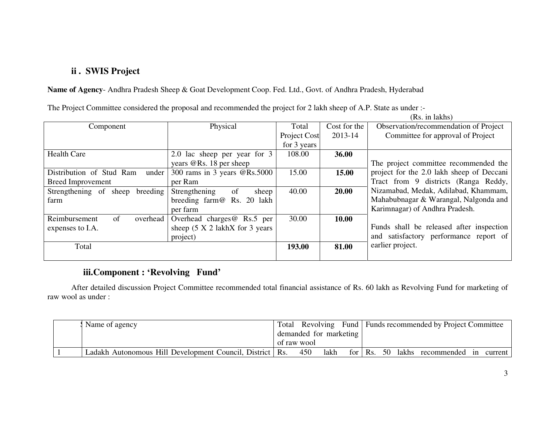## **ii . SWIS Project**

**Name of Agency**- Andhra Pradesh Sheep & Goat Development Coop. Fed. Ltd., Govt. of Andhra Pradesh, Hyderabad

|  |  |  | The Project Committee considered the proposal and recommended the project for 2 lakh sheep of A.P. State as under :- |  |
|--|--|--|----------------------------------------------------------------------------------------------------------------------|--|
|  |  |  |                                                                                                                      |  |

(Rs. in lakhs)

| Component                         | Physical                                      | Total        | Cost for the | Observation/recommendation of Project     |
|-----------------------------------|-----------------------------------------------|--------------|--------------|-------------------------------------------|
|                                   |                                               | Project Cost | 2013-14      | Committee for approval of Project         |
|                                   |                                               | for 3 years  |              |                                           |
| <b>Health Care</b>                | 2.0 lac sheep per year for 3                  | 108.00       | 36.00        |                                           |
|                                   | years $@$ Rs. 18 per sheep                    |              |              | The project committee recommended the     |
| Distribution of Stud Ram<br>under | 300 rams in 3 years @Rs.5000                  | 15.00        | 15.00        | project for the 2.0 lakh sheep of Deccani |
| <b>Breed Improvement</b>          | per Ram                                       |              |              | Tract from 9 districts (Ranga Reddy,      |
| Strengthening of sheep breeding   | Strengthening<br>of<br>sheep                  | 40.00        | 20.00        | Nizamabad, Medak, Adilabad, Khammam,      |
| farm                              | breeding farm@ Rs. 20 lakh                    |              |              | Mahabubnagar & Warangal, Nalgonda and     |
|                                   | per farm                                      |              |              | Karimnagar) of Andhra Pradesh.            |
| of<br>Reimbursement<br>overhead   | Overhead charges $@$ Rs.5 per                 | 30.00        | 10.00        |                                           |
| expenses to I.A.                  | sheep $(5 \times 2 \text{ lakhX}$ for 3 years |              |              | Funds shall be released after inspection  |
|                                   | project)                                      |              |              | and satisfactory performance report of    |
| Total                             |                                               | 193.00       | 81.00        | earlier project.                          |
|                                   |                                               |              |              |                                           |

## **iii.Component : 'Revolving Fund'**

 After detailed discussion Project Committee recommended total financial assistance of Rs. 60 lakh as Revolving Fund for marketing of raw wool as under :

|  | Name of agency                                             |  |  |                        |     |      |  | Total Revolving Fund   Funds recommended by Project Committee |                                         |  |
|--|------------------------------------------------------------|--|--|------------------------|-----|------|--|---------------------------------------------------------------|-----------------------------------------|--|
|  |                                                            |  |  | demanded for marketing |     |      |  |                                                               |                                         |  |
|  |                                                            |  |  | of raw wool            |     |      |  |                                                               |                                         |  |
|  | Ladakh Autonomous Hill Development Council, District   Rs. |  |  |                        | 450 | lakh |  |                                                               | for Rs. 50 lakhs recommended in current |  |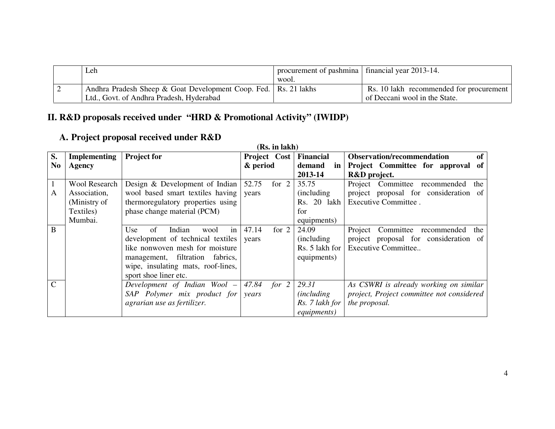|  | Leh                                                               | procurement of pashmina   financial year 2013-14.<br>wool. |                                         |
|--|-------------------------------------------------------------------|------------------------------------------------------------|-----------------------------------------|
|  | Andhra Pradesh Sheep & Goat Development Coop. Fed.   Rs. 21 lakhs |                                                            | Rs. 10 lakh recommended for procurement |
|  | Ltd., Govt. of Andhra Pradesh, Hyderabad                          |                                                            | of Deccani wool in the State.           |

# **II. R&D proposals received under "HRD & Promotional Activity" (IWIDP)**

# **A. Project proposal received under R&D**

|                |                      |                                               | (Rs. in lakh)    |                     |                                           |
|----------------|----------------------|-----------------------------------------------|------------------|---------------------|-------------------------------------------|
| S.             | <b>Implementing</b>  | <b>Project for</b>                            | Project Cost     | <b>Financial</b>    | <b>Observation/recommendation</b><br>of   |
| N <sub>o</sub> | Agency               |                                               | & period         | demand<br>in        | Project Committee for approval<br>of      |
|                |                      |                                               |                  | 2013-14             | R&D project.                              |
|                | <b>Wool Research</b> | Design & Development of Indian                | 52.75<br>for $2$ | 35.75               | Project Committee recommended<br>the      |
| A              | Association,         | wool based smart textiles having              | years            | (including)         | project proposal for consideration of     |
|                | (Ministry of         | thermoregulatory properties using             |                  | Rs. 20 lakh         | Executive Committee.                      |
|                | Textiles)            | phase change material (PCM)                   |                  | for                 |                                           |
|                | Mumbai.              |                                               |                  | equipments)         |                                           |
| B              |                      | of<br>Indian<br>$\frac{1}{2}$<br>wool<br>Use. | for $2$<br>47.14 | 24.09               | Committee recommended<br>Project<br>the   |
|                |                      | development of technical textiles vears       |                  | (including)         | project proposal for consideration of     |
|                |                      | like nonwoven mesh for moisture               |                  | Rs. 5 lakh for      | Executive Committee                       |
|                |                      | management, filtration<br>fabrics,            |                  | equipments)         |                                           |
|                |                      | wipe, insulating mats, roof-lines,            |                  |                     |                                           |
|                |                      | sport shoe liner etc.                         |                  |                     |                                           |
| $\mathcal{C}$  |                      | Development of Indian Wool $-$ 47.84 for 2    |                  | 29.31               | As CSWRI is already working on similar    |
|                |                      | $SAP$ Polymer mix product for                 | years            | <i>(including)</i>  | project, Project committee not considered |
|                |                      | agrarian use as fertilizer.                   |                  | Rs. 7 lakh for      | the proposal.                             |
|                |                      |                                               |                  | <i>equipments</i> ) |                                           |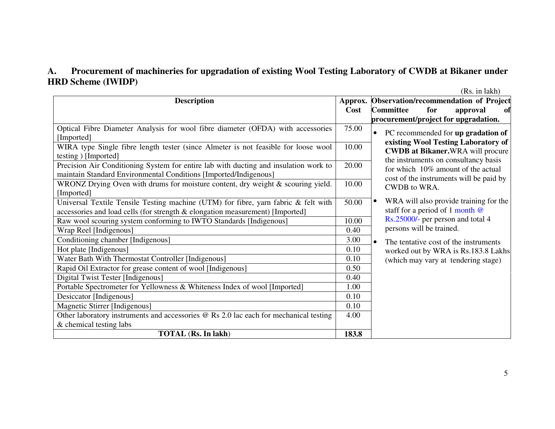#### **A. Procurement of machineries for upgradation of existing Wool Testing Laboratory of CWDB at Bikaner under HRD Scheme (IWIDP)**

(Rs. in lakh)

| <b>Description</b>                                                                    |       | Approx. Observation/recommendation of Project       |
|---------------------------------------------------------------------------------------|-------|-----------------------------------------------------|
|                                                                                       | Cost  | <b>Committee</b><br>for<br>approval<br>ofi          |
|                                                                                       |       | procurement/project for upgradation.                |
| Optical Fibre Diameter Analysis for wool fibre diameter (OFDA) with accessories       | 75.00 | PC recommended for up gradation of<br>$\bullet$     |
| [Imported]                                                                            |       | existing Wool Testing Laboratory of                 |
| WIRA type Single fibre length tester (since Almeter is not feasible for loose wool    | 10.00 | <b>CWDB at Bikaner.</b> WRA will procure            |
| testing ) [Imported]                                                                  |       | the instruments on consultancy basis                |
| Precision Air Conditioning System for entire lab with ducting and insulation work to  | 20.00 | for which 10% amount of the actual                  |
| maintain Standard Environmental Conditions [Imported/Indigenous]                      |       | cost of the instruments will be paid by             |
| WRONZ Drying Oven with drums for moisture content, dry weight & scouring yield.       | 10.00 | <b>CWDB</b> to WRA.                                 |
| [Imported]                                                                            |       |                                                     |
| Universal Textile Tensile Testing machine (UTM) for fibre, yarn fabric & felt with    | 50.00 | WRA will also provide training for the<br>$\bullet$ |
| accessories and load cells (for strength & elongation measurement) [Imported]         |       | staff for a period of 1 month $@$                   |
| Raw wool scouring system conforming to IWTO Standards [Indigenous]                    | 10.00 | Rs.25000/- per person and total 4                   |
| Wrap Reel [Indigenous]                                                                | 0.40  | persons will be trained.                            |
| Conditioning chamber [Indigenous]                                                     | 3.00  | The tentative cost of the instruments<br>$\bullet$  |
| Hot plate [Indigenous]                                                                | 0.10  | worked out by WRA is Rs.183.8 Lakhs                 |
| Water Bath With Thermostat Controller [Indigenous]                                    | 0.10  | (which may vary at tendering stage)                 |
| Rapid Oil Extractor for grease content of wool [Indigenous]                           | 0.50  |                                                     |
| Digital Twist Tester [Indigenous]                                                     | 0.40  |                                                     |
| Portable Spectrometer for Yellowness & Whiteness Index of wool [Imported]             | 1.00  |                                                     |
| Desiccator [Indigenous]                                                               | 0.10  |                                                     |
| Magnetic Stirrer [Indigenous]                                                         | 0.10  |                                                     |
| Other laboratory instruments and accessories @ Rs 2.0 lac each for mechanical testing | 4.00  |                                                     |
| & chemical testing labs                                                               |       |                                                     |
| <b>TOTAL</b> (Rs. In lakh)                                                            | 183.8 |                                                     |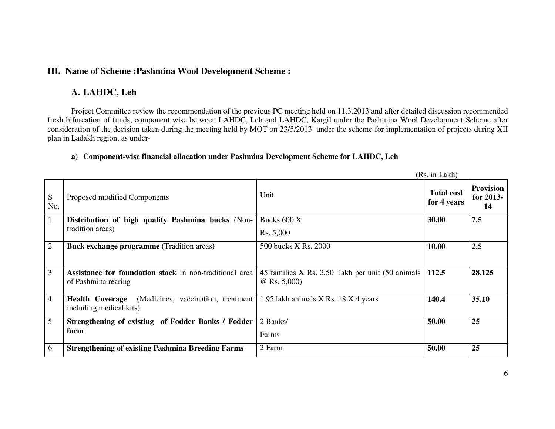### **III. Name of Scheme :Pashmina Wool Development Scheme :**

## **A. LAHDC, Leh**

Project Committee review the recommendation of the previous PC meeting held on 11.3.2013 and after detailed discussion recommended fresh bifurcation of funds, component wise between LAHDC, Leh and LAHDC, Kargil under the Pashmina Wool Development Scheme after consideration of the decision taken during the meeting held by MOT on 23/5/2013 under the scheme for implementation of projects during XII plan in Ladakh region, as under-

### **a) Component-wise financial allocation under Pashmina Development Scheme for LAHDC, Leh**

|                |                                                                                         |                                                                     | (Rs. in Lakh)                    |                                       |
|----------------|-----------------------------------------------------------------------------------------|---------------------------------------------------------------------|----------------------------------|---------------------------------------|
| S<br>No.       | Proposed modified Components                                                            | Unit                                                                | <b>Total cost</b><br>for 4 years | <b>Provision</b><br>for $2013-$<br>14 |
| $\perp$        | Distribution of high quality Pashmina bucks (Non-                                       | Bucks 600 X                                                         | 30.00                            | 7.5                                   |
|                | tradition areas)                                                                        | Rs. 5,000                                                           |                                  |                                       |
| $\overline{2}$ | <b>Buck exchange programme (Tradition areas)</b>                                        | 500 bucks X Rs. 2000                                                | 10.00                            | 2.5                                   |
| 3              | Assistance for foundation stock in non-traditional area<br>of Pashmina rearing          | 45 families X Rs. 2.50 lakh per unit (50 animals)<br>$@$ Rs. 5,000) | 112.5                            | 28.125                                |
| $\overline{4}$ | (Medicines, vaccination, treatment<br><b>Health Coverage</b><br>including medical kits) | 1.95 lakh animals X Rs. 18 X 4 years                                | 140.4                            | 35.10                                 |
| 5              | Strengthening of existing of Fodder Banks / Fodder                                      | 2 Banks/                                                            | 50.00                            | 25                                    |
|                | form                                                                                    | Farms                                                               |                                  |                                       |
| 6              | <b>Strengthening of existing Pashmina Breeding Farms</b>                                | 2 Farm                                                              | 50.00                            | 25                                    |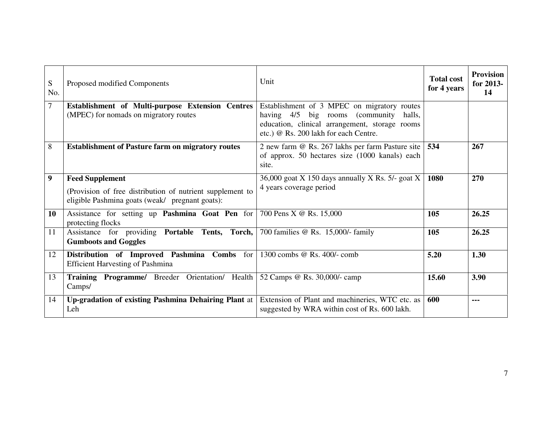| S<br>No. | Proposed modified Components                                                                                                           | Unit                                                                                                                                                                                | <b>Total cost</b><br>for 4 years | <b>Provision</b><br>for 2013-<br>14 |
|----------|----------------------------------------------------------------------------------------------------------------------------------------|-------------------------------------------------------------------------------------------------------------------------------------------------------------------------------------|----------------------------------|-------------------------------------|
| 7        | Establishment of Multi-purpose Extension Centres<br>(MPEC) for nomads on migratory routes                                              | Establishment of 3 MPEC on migratory routes<br>having 4/5 big rooms (community<br>halls,<br>education, clinical arrangement, storage rooms<br>etc.) @ Rs. 200 lakh for each Centre. |                                  |                                     |
| 8        | <b>Establishment of Pasture farm on migratory routes</b>                                                                               | 2 new farm @ Rs. 267 lakhs per farm Pasture site  <br>of approx. 50 hectares size (1000 kanals) each<br>site.                                                                       | 534                              | 267                                 |
| 9        | <b>Feed Supplement</b><br>(Provision of free distribution of nutrient supplement to<br>eligible Pashmina goats (weak/ pregnant goats): | 36,000 goat X 150 days annually X Rs. $5/-$ goat X<br>4 years coverage period                                                                                                       | 1080                             | 270                                 |
| 10       | Assistance for setting up Pashmina Goat Pen for<br>protecting flocks                                                                   | 700 Pens X @ Rs. 15,000                                                                                                                                                             | 105                              | 26.25                               |
| 11       | Assistance for providing Portable Tents, Torch,<br><b>Gumboots and Goggles</b>                                                         | 700 families @ Rs. 15,000/- family                                                                                                                                                  | 105                              | 26.25                               |
| 12       | Distribution of Improved Pashmina<br>Combs<br>for<br><b>Efficient Harvesting of Pashmina</b>                                           | 1300 combs @ Rs. 400/- comb                                                                                                                                                         | 5.20                             | 1.30                                |
| 13       | Training Programme/ Breeder Orientation/ Health<br>Camps/                                                                              | 52 Camps @ Rs. 30,000/- camp                                                                                                                                                        | 15.60                            | 3.90                                |
| 14       | Up-gradation of existing Pashmina Dehairing Plant at<br>Leh                                                                            | Extension of Plant and machineries, WTC etc. as<br>suggested by WRA within cost of Rs. 600 lakh.                                                                                    | 600                              | ---                                 |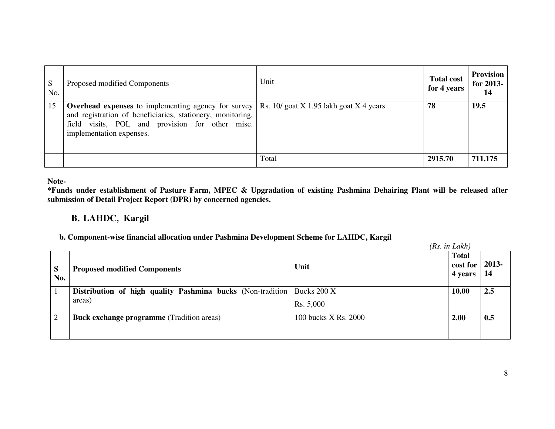| S<br>No. | Proposed modified Components                                                                                                                                                                            | Unit                                        | <b>Total cost</b><br>for 4 years | <b>Provision</b><br>for 2013-<br>14 |
|----------|---------------------------------------------------------------------------------------------------------------------------------------------------------------------------------------------------------|---------------------------------------------|----------------------------------|-------------------------------------|
| 15       | <b>Overhead expenses</b> to implementing agency for survey<br>and registration of beneficiaries, stationery, monitoring,<br>field visits, POL and provision for other misc.<br>implementation expenses. | Rs. 10/ goat $X$ 1.95 lakh goat $X$ 4 years | 78                               | 19.5                                |
|          |                                                                                                                                                                                                         | Total                                       | 2915.70                          | 711.175                             |

**Note-** 

 **\*Funds under establishment of Pasture Farm, MPEC & Upgradation of existing Pashmina Dehairing Plant will be released after submission of Detail Project Report (DPR) by concerned agencies.** 

## **B. LAHDC, Kargil**

#### **b. Component-wise financial allocation under Pashmina Development Scheme for LAHDC, Kargil**

|          |                                                             |                      | (Rs. in Lakh)                       |              |
|----------|-------------------------------------------------------------|----------------------|-------------------------------------|--------------|
| S<br>No. | <b>Proposed modified Components</b>                         | Unit                 | <b>Total</b><br>cost for<br>4 years | 2013-<br>-14 |
|          | Distribution of high quality Pashmina bucks (Non-tradition) | Bucks 200 X          | 10.00                               | 2.5          |
|          | areas)                                                      | Rs. 5,000            |                                     |              |
| ↑        | <b>Buck exchange programme</b> (Tradition areas)            | 100 bucks X Rs. 2000 | 2.00                                | 0.5          |
|          |                                                             |                      |                                     |              |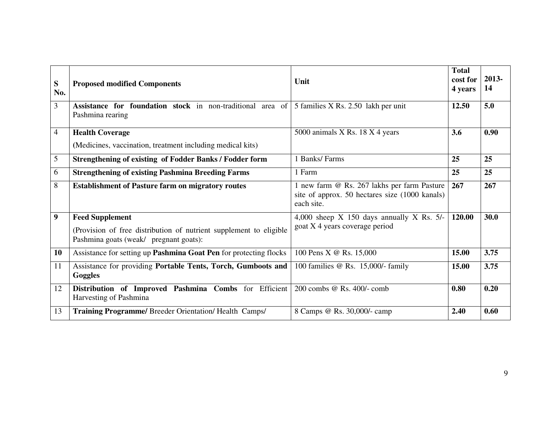| S<br>No.         | <b>Proposed modified Components</b>                                                                                                    | Unit                                                                                                        | <b>Total</b><br>cost for<br>4 years | 2013-<br>14 |
|------------------|----------------------------------------------------------------------------------------------------------------------------------------|-------------------------------------------------------------------------------------------------------------|-------------------------------------|-------------|
| 3                | Assistance for foundation stock in non-traditional area of<br>Pashmina rearing                                                         | 5 families X Rs. 2.50 lakh per unit                                                                         | 12.50                               | 5.0         |
| 4                | <b>Health Coverage</b><br>(Medicines, vaccination, treatment including medical kits)                                                   | 5000 animals X Rs. 18 X 4 years                                                                             | 3.6                                 | 0.90        |
| 5                | <b>Strengthening of existing of Fodder Banks / Fodder form</b>                                                                         | 1 Banks/Farms                                                                                               | 25                                  | 25          |
| 6                | <b>Strengthening of existing Pashmina Breeding Farms</b>                                                                               | 1 Farm                                                                                                      | 25                                  | 25          |
| 8                | <b>Establishment of Pasture farm on migratory routes</b>                                                                               | 1 new farm @ Rs. 267 lakhs per farm Pasture<br>site of approx. 50 hectares size (1000 kanals)<br>each site. | 267                                 | 267         |
| $\boldsymbol{9}$ | <b>Feed Supplement</b><br>(Provision of free distribution of nutrient supplement to eligible<br>Pashmina goats (weak/ pregnant goats): | 4,000 sheep $X$ 150 days annually $X$ Rs. 5/-<br>goat X 4 years coverage period                             | 120.00                              | 30.0        |
| 10               | Assistance for setting up Pashmina Goat Pen for protecting flocks                                                                      | 100 Pens X @ Rs. 15,000                                                                                     | 15.00                               | 3.75        |
| 11               | Assistance for providing Portable Tents, Torch, Gumboots and<br>Goggles                                                                | 100 families @ Rs. 15,000/- family                                                                          | 15.00                               | 3.75        |
| 12               | Distribution of Improved Pashmina Combs for Efficient<br>Harvesting of Pashmina                                                        | 200 combs @ Rs. 400/- comb                                                                                  | 0.80                                | 0.20        |
| 13               | Training Programme/ Breeder Orientation/ Health Camps/                                                                                 | 8 Camps @ Rs. 30,000/- camp                                                                                 | 2.40                                | 0.60        |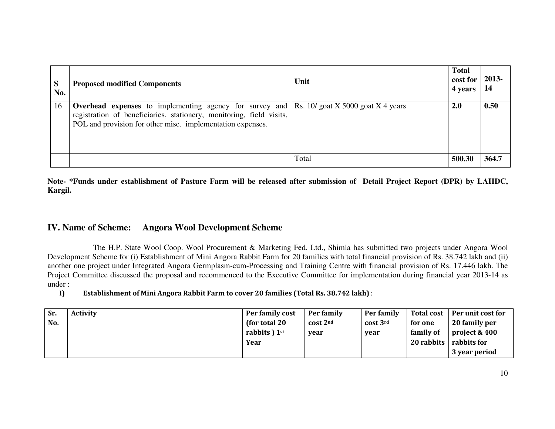| S<br>No. | <b>Proposed modified Components</b>                                                                                                                                                                  | Unit                                | <b>Total</b><br>cost for<br>4 years | 2013-<br>-14 |
|----------|------------------------------------------------------------------------------------------------------------------------------------------------------------------------------------------------------|-------------------------------------|-------------------------------------|--------------|
| 16       | <b>Overhead expenses</b> to implementing agency for survey and<br>registration of beneficiaries, stationery, monitoring, field visits,<br>POL and provision for other misc. implementation expenses. | Rs. $10$ goat X 5000 goat X 4 years | 2.0                                 | 0.50         |
|          |                                                                                                                                                                                                      | Total                               | 500.30                              | 364.7        |

**Note- \*Funds under establishment of Pasture Farm will be released after submission of Detail Project Report (DPR) by LAHDC, Kargil.** 

#### **IV. Name of Scheme:Angora Wool Development Scheme**

 The H.P. State Wool Coop. Wool Procurement & Marketing Fed. Ltd., Shimla has submitted two projects under Angora Wool Development Scheme for (i) Establishment of Mini Angora Rabbit Farm for 20 families with total financial provision of Rs. 38.742 lakh and (ii) another one project under Integrated Angora Germplasm-cum-Processing and Training Centre with financial provision of Rs. 17.446 lakh. The Project Committee discussed the proposal and recommenced to the Executive Committee for implementation during financial year 2013-14 as under :

I)Establishment of Mini Angora Rabbit Farm to cover 20 families (Total Rs. 38.742 lakh) :

| Sr. | <b>Activity</b> | Per family cost | Per family   | Per family | <b>Total cost</b> | Per unit cost for |
|-----|-----------------|-----------------|--------------|------------|-------------------|-------------------|
| No. |                 | (for total 20)  | $cost$ $2nd$ | cost 3rd   | for one           | 20 family per     |
|     |                 | rabbits $1st$   | vear         | year       | family of         | project & 400     |
|     |                 | Year            |              |            | 20 rabbits        | rabbits for       |
|     |                 |                 |              |            |                   | 3 year period     |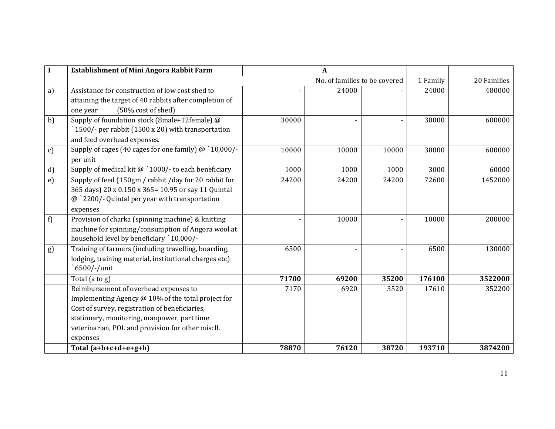|               | <b>Establishment of Mini Angora Rabbit Farm</b>        |       | A                             |       |          |             |
|---------------|--------------------------------------------------------|-------|-------------------------------|-------|----------|-------------|
|               |                                                        |       | No. of families to be covered |       | 1 Family | 20 Families |
| a)            | Assistance for construction of low cost shed to        |       | 24000                         |       | 24000    | 480000      |
|               | attaining the target of 40 rabbits after completion of |       |                               |       |          |             |
|               | (50% cost of shed)<br>one year                         |       |                               |       |          |             |
| b)            | Supply of foundation stock (8male+12female) @          | 30000 |                               |       | 30000    | 600000      |
|               | 1500/- per rabbit (1500 x 20) with transportation      |       |                               |       |          |             |
|               | and feed overhead expenses.                            |       |                               |       |          |             |
| $\mathbf{c})$ | Supply of cages (40 cages for one family) @ `10,000/-  | 10000 | 10000                         | 10000 | 30000    | 600000      |
|               | per unit                                               |       |                               |       |          |             |
| d)            | Supply of medical kit $@$ `1000/- to each beneficiary  | 1000  | 1000                          | 1000  | 3000     | 60000       |
| e)            | Supply of feed (150gm / rabbit /day for 20 rabbit for  | 24200 | 24200                         | 24200 | 72600    | 1452000     |
|               | 365 days) 20 x 0.150 x 365= 10.95 or say 11 Quintal    |       |                               |       |          |             |
|               | $@$ `2200/- Quintal per year with transportation       |       |                               |       |          |             |
|               | expenses                                               |       |                               |       |          |             |
| f)            | Provision of charka (spinning machine) & knitting      |       | 10000                         |       | 10000    | 200000      |
|               | machine for spinning/consumption of Angora wool at     |       |                               |       |          |             |
|               | household level by beneficiary `10,000/-               |       |                               |       |          |             |
| g)            | Training of farmers (including travelling, boarding,   | 6500  |                               |       | 6500     | 130000      |
|               | lodging, training material, institutional charges etc) |       |                               |       |          |             |
|               | 6500/-/unit                                            |       |                               |       |          |             |
|               | Total (a to g)                                         | 71700 | 69200                         | 35200 | 176100   | 3522000     |
|               | Reimbursement of overhead expenses to                  | 7170  | 6920                          | 3520  | 17610    | 352200      |
|               | Implementing Agency @ 10% of the total project for     |       |                               |       |          |             |
|               | Cost of survey, registration of beneficiaries,         |       |                               |       |          |             |
|               | stationary, monitoring, manpower, part time            |       |                               |       |          |             |
|               | veterinarian, POL and provision for other miscll.      |       |                               |       |          |             |
|               | expenses                                               |       |                               |       |          |             |
|               | Total $(a+b+c+d+e+g+h)$                                | 78870 | 76120                         | 38720 | 193710   | 3874200     |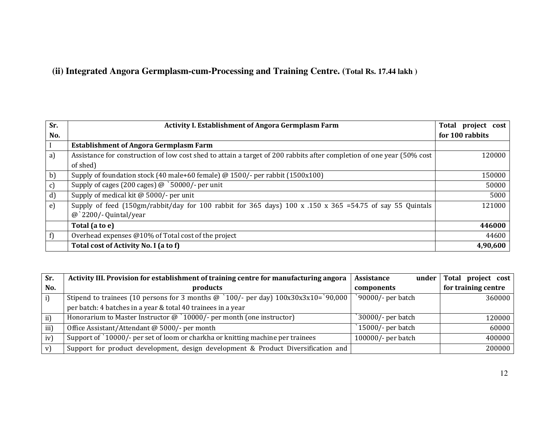## **(ii) Integrated Angora Germplasm-cum-Processing and Training Centre. (Total Rs. 17.44 lakh )**

| Sr.        | <b>Activity I. Establishment of Angora Germplasm Farm</b>                                                              | Total project cost |
|------------|------------------------------------------------------------------------------------------------------------------------|--------------------|
| No.        |                                                                                                                        | for 100 rabbits    |
|            | <b>Establishment of Angora Germplasm Farm</b>                                                                          |                    |
| a)         | Assistance for construction of low cost shed to attain a target of 200 rabbits after completion of one year (50% cost  | 120000             |
|            | of shed)                                                                                                               |                    |
| b)         | Supply of foundation stock (40 male+60 female) @ 1500/- per rabbit (1500x100)                                          | 150000             |
| c)         | Supply of cages (200 cages) $\omega$ `50000/- per unit                                                                 | 50000              |
| d)         | Supply of medical kit @ 5000/- per unit                                                                                | 5000               |
| $\epsilon$ | Supply of feed (150gm/rabbit/day for 100 rabbit for 365 days) $100 \times .150 \times .365 = 54.75$ of say 55 Quintals | 121000             |
|            | $\omega$ 2200/- Quintal/year                                                                                           |                    |
|            | Total (a to e)                                                                                                         | 446000             |
| f)         | Overhead expenses @10% of Total cost of the project                                                                    | 44600              |
|            | Total cost of Activity No. I (a to f)                                                                                  | 4,90,600           |

| Sr.           | Activity III. Provision for establishment of training centre for manufacturing angora        | <b>Assistance</b><br>under | Total project cost  |
|---------------|----------------------------------------------------------------------------------------------|----------------------------|---------------------|
| No.           | products                                                                                     | components                 | for training centre |
| $\mathbf{i}$  | Stipend to trainees (10 persons for 3 months $\omega$ '100/- per day) $100x30x3x10=$ '90,000 | 90000/- per batch          | 360000              |
|               | per batch: 4 batches in a year & total 40 trainees in a year                                 |                            |                     |
| $\mathbf{ii}$ | Honorarium to Master Instructor $\omega$ '10000/- per month (one instructor)                 | 30000/- per batch          | 120000              |
| iii)          | Office Assistant/Attendant @ 5000/- per month                                                | 15000/- per batch          | 60000               |
| iv)           | Support of `10000/- per set of loom or charkha or knitting machine per trainees              | 100000/- per batch         | 400000              |
| v)            | Support for product development, design development & Product Diversification and            |                            | 200000              |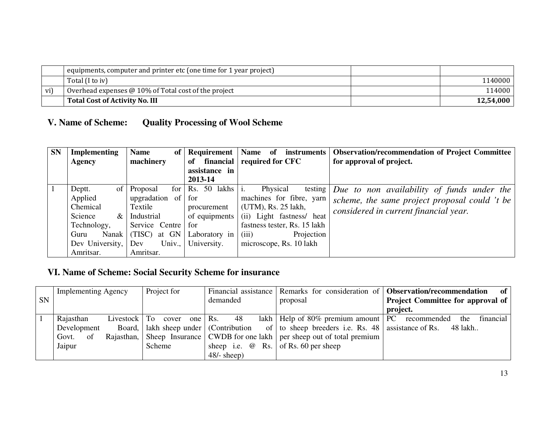|     | equipments, computer and printer etc (one time for 1 year project) |           |
|-----|--------------------------------------------------------------------|-----------|
|     | Total (I to iv)                                                    | 1140000   |
| vi) | Overhead expenses $@10\%$ of Total cost of the project             | 114000    |
|     | Total Cost of Activity No. III                                     | 12.54.000 |

#### **V. Name of Scheme:Quality Processing of Wool Scheme**

| <b>SN</b> | <b>Implementing</b> | <b>Name</b><br>of       |                          | <b>Name</b><br><i>instruments</i><br>-of | <b>Observation/recommendation of Project Committee</b>            |
|-----------|---------------------|-------------------------|--------------------------|------------------------------------------|-------------------------------------------------------------------|
|           | Agency              | machinery               | of                       | financial required for CFC               | for approval of project.                                          |
|           |                     |                         | assistance in            |                                          |                                                                   |
|           |                     |                         | 2013-14                  |                                          |                                                                   |
|           | Deptt.<br>of 1      | Proposal<br>for         | $\text{Rs.}$ 50 lakhs i. | Physical                                 | testing $\vert$ <i>Due to non availability of funds under the</i> |
|           | Applied             | upgradation of          | for                      | machines for fibre, yarn                 | scheme, the same project proposal could 't be                     |
|           | Chemical            | Textile                 | procurement              | (UTM), Rs. 25 lakh,                      | considered in current financial year.                             |
|           | Science<br>$\&$     | Industrial              | of equipments            | (ii) Light fastness/ heat                |                                                                   |
|           | Technology,         | Service Centre          | for                      | fastness tester, Rs. 15 lakh             |                                                                   |
|           | Guru                | at GN<br>Nanak $(TISC)$ | Laboratory in            | Projection<br>(iii)                      |                                                                   |
|           | Dev University, Dev | Univ.,                  | University.              | microscope, Rs. 10 lakh                  |                                                                   |
|           | Amritsar.           | Amritsar.               |                          |                                          |                                                                   |

# **VI. Name of Scheme: Social Security Scheme for insurance**

|           | <b>Implementing Agency</b> |    |                                           |               | Project for |           |               |    |                         |                                                                             | Financial assistance Remarks for consideration of Observation/recommendation<br>of |
|-----------|----------------------------|----|-------------------------------------------|---------------|-------------|-----------|---------------|----|-------------------------|-----------------------------------------------------------------------------|------------------------------------------------------------------------------------|
| <b>SN</b> |                            |    |                                           |               |             |           | demanded      |    |                         | proposal                                                                    | <b>Project Committee for approval of</b>                                           |
|           |                            |    |                                           |               |             |           |               |    |                         |                                                                             | project.                                                                           |
|           | Rajasthan                  |    | Livestock   To                            |               | cover       | one   Rs. |               | 48 |                         | lakh   Help of $80\%$ premium amount   PC recommended                       | financial<br>the                                                                   |
|           | Development                |    | Board,   lakh sheep under   (Contribution |               |             |           |               |    |                         | of $\vert$ to sheep breeders i.e. Rs. 48 assistance of Rs. 48 lakh          |                                                                                    |
|           | Govt.                      | of |                                           |               |             |           |               |    |                         | Rajasthan, Sheep Insurance CWDB for one lakh per sheep out of total premium |                                                                                    |
|           | Jaipur                     |    |                                           | <b>Scheme</b> |             |           |               |    | sheep i.e. $\omega$ Rs. | of Rs. 60 per sheep                                                         |                                                                                    |
|           |                            |    |                                           |               |             |           | $48/-$ sheep) |    |                         |                                                                             |                                                                                    |